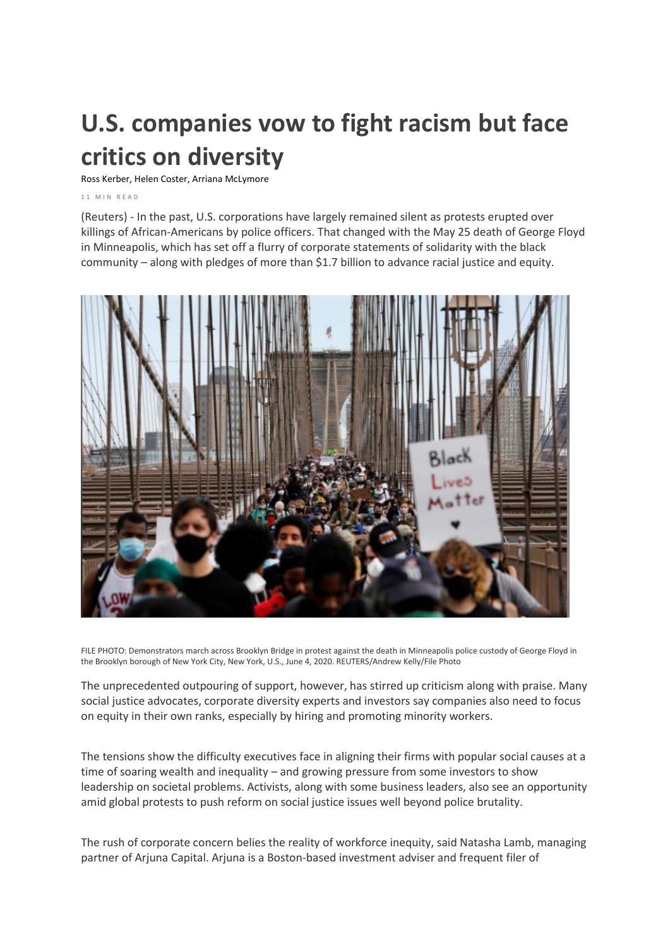## **U.S. companies vow to fight racism but face critics on diversity**

Ross [Kerber,](https://www.reuters.com/journalists/ross-kerber) Helen [Coster,](https://www.reuters.com/journalists/helen-coster) Arriana [McLymore](https://www.reuters.com/journalists/arriana-mclymore)

11 MIN RFAD

(Reuters) - In the past, U.S. corporations have largely remained silent as protests erupted over killings of African-Americans by police officers. That changed with the May 25 death of George Floyd in Minneapolis, which has set off a flurry of corporate statements of solidarity with the black community – along with pledges of more than \$1.7 billion to advance racial justice and equity.



FILE PHOTO: Demonstrators march across Brooklyn Bridge in protest against the death in Minneapolis police custody of George Floyd in the Brooklyn borough of New York City, New York, U.S., June 4, 2020. REUTERS/Andrew Kelly/File Photo

The unprecedented outpouring of support, however, has stirred up criticism along with praise. Many social justice advocates, corporate diversity experts and investors say companies also need to focus on equity in their own ranks, especially by hiring and promoting minority workers.

The tensions show the difficulty executives face in aligning their firms with popular social causes at a time of soaring wealth and inequality – and growing pressure from some investors to show leadership on societal problems. Activists, along with some business leaders, also see an opportunity amid global protests to push reform on social justice issues well beyond police brutality.

The rush of corporate concern belies the reality of workforce inequity, said Natasha Lamb, managing partner of Arjuna Capital. Arjuna is a Boston-based investment adviser and frequent filer of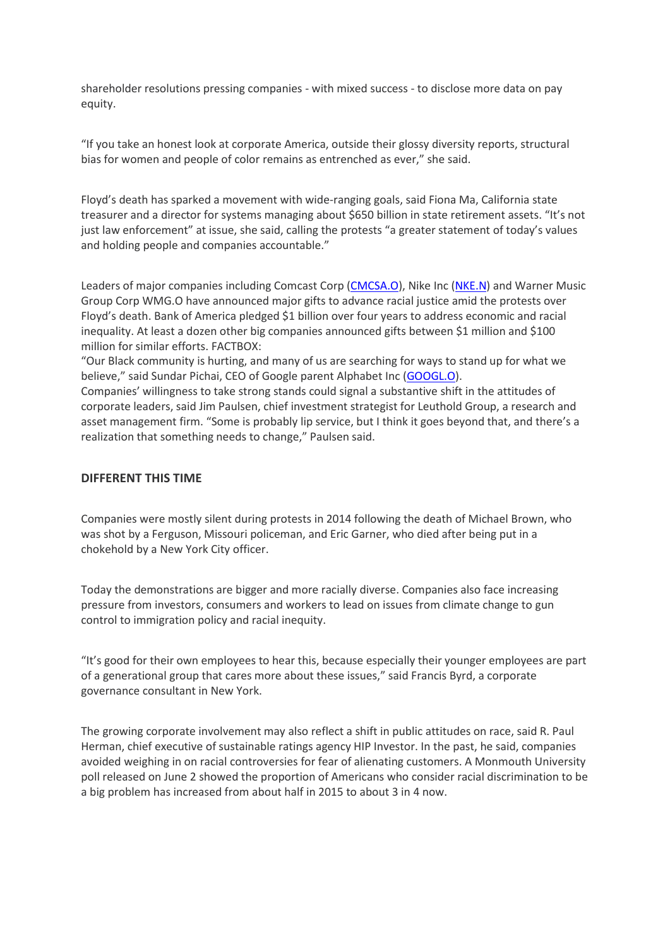shareholder resolutions pressing companies - with mixed success - to disclose more data on pay equity.

"If you take an honest look at corporate America, outside their glossy diversity reports, structural bias for women and people of color remains as entrenched as ever," she said.

Floyd's death has sparked a movement with wide-ranging goals, said Fiona Ma, California state treasurer and a director for systems managing about \$650 billion in state retirement assets. "It's not just law enforcement" at issue, she said, calling the protests "a greater statement of today's values and holding people and companies accountable."

Leaders of major companies including Comcast Corp [\(CMCSA.O\)](https://www.reuters.com/companies/CMCSA.O), Nike Inc [\(NKE.N\)](https://www.reuters.com/companies/NKE.N) and Warner Music Group Corp WMG.O have announced major gifts to advance racial justice amid the protests over Floyd's death. Bank of America pledged \$1 billion over four years to address economic and racial inequality. At least a dozen other big companies announced gifts between \$1 million and \$100 million for similar efforts. FACTBOX:

"Our Black community is hurting, and many of us are searching for ways to stand up for what we believe," said Sundar Pichai, CEO of Google parent Alphabet Inc ([GOOGL.O\)](https://www.reuters.com/companies/GOOGL.O).

Companies' willingness to take strong stands could signal a substantive shift in the attitudes of corporate leaders, said Jim Paulsen, chief investment strategist for Leuthold Group, a research and asset management firm. "Some is probably lip service, but I think it goes beyond that, and there's a realization that something needs to change," Paulsen said.

## **DIFFERENT THIS TIME**

Companies were mostly silent during protests in 2014 following the death of Michael Brown, who was shot by a Ferguson, Missouri policeman, and Eric Garner, who died after being put in a chokehold by a New York City officer.

Today the demonstrations are bigger and more racially diverse. Companies also face increasing pressure from investors, consumers and workers to lead on issues from climate change to gun control to immigration policy and racial inequity.

"It's good for their own employees to hear this, because especially their younger employees are part of a generational group that cares more about these issues," said Francis Byrd, a corporate governance consultant in New York.

The growing corporate involvement may also reflect a shift in public attitudes on race, said R. Paul Herman, chief executive of sustainable ratings agency HIP Investor. In the past, he said, companies avoided weighing in on racial controversies for fear of alienating customers. A Monmouth University poll released on June 2 showed the proportion of Americans who consider racial discrimination to be a big problem has increased from about half in 2015 to about 3 in 4 now.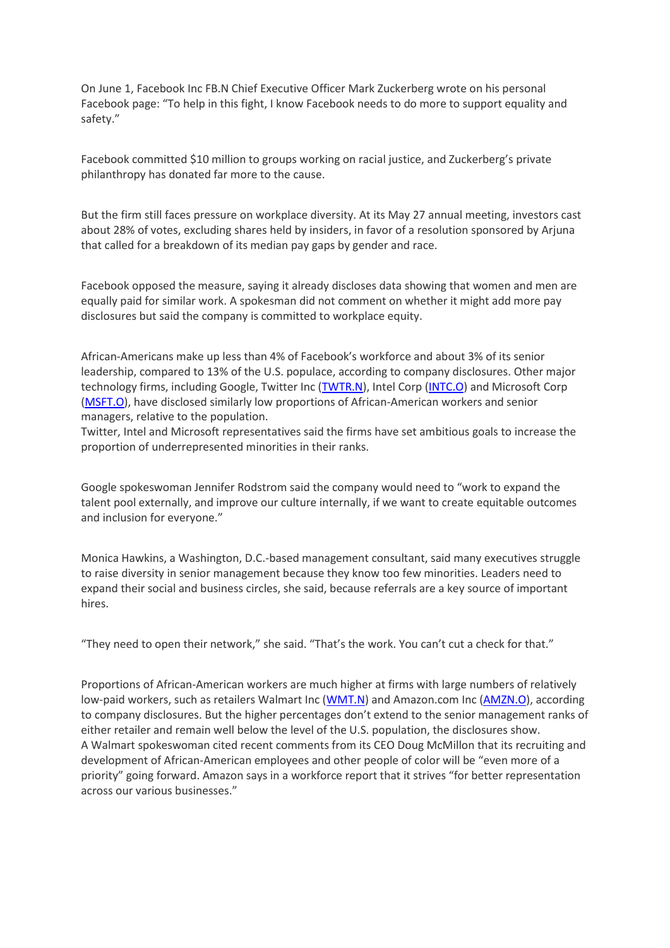On June 1, Facebook Inc FB.N Chief Executive Officer Mark Zuckerberg wrote on his personal Facebook page: "To help in this fight, I know Facebook needs to do more to support equality and safety."

Facebook committed \$10 million to groups working on racial justice, and Zuckerberg's private philanthropy has donated far more to the cause.

But the firm still faces pressure on workplace diversity. At its May 27 annual meeting, investors cast about 28% of votes, excluding shares held by insiders, in favor of a resolution sponsored by Arjuna that called for a breakdown of its median pay gaps by gender and race.

Facebook opposed the measure, saying it already discloses data showing that women and men are equally paid for similar work. A spokesman did not comment on whether it might add more pay disclosures but said the company is committed to workplace equity.

African-Americans make up less than 4% of Facebook's workforce and about 3% of its senior leadership, compared to 13% of the U.S. populace, according to company disclosures. Other major technology firms, including Google, Twitter Inc [\(TWTR.N\)](https://www.reuters.com/companies/TWTR.N), Intel Corp [\(INTC.O\)](https://www.reuters.com/companies/INTC.O) and Microsoft Corp [\(MSFT.O\)](https://www.reuters.com/companies/MSFT.O), have disclosed similarly low proportions of African-American workers and senior managers, relative to the population.

Twitter, Intel and Microsoft representatives said the firms have set ambitious goals to increase the proportion of underrepresented minorities in their ranks.

Google spokeswoman Jennifer Rodstrom said the company would need to "work to expand the talent pool externally, and improve our culture internally, if we want to create equitable outcomes and inclusion for everyone."

Monica Hawkins, a Washington, D.C.-based management consultant, said many executives struggle to raise diversity in senior management because they know too few minorities. Leaders need to expand their social and business circles, she said, because referrals are a key source of important hires.

"They need to open their network," she said. "That's the work. You can't cut a check for that."

Proportions of African-American workers are much higher at firms with large numbers of relatively low-paid workers, such as retailers Walmart Inc [\(WMT.N\)](https://www.reuters.com/companies/WMT.N) and Amazon.com Inc [\(AMZN.O\)](https://www.reuters.com/companies/AMZN.O), according to company disclosures. But the higher percentages don't extend to the senior management ranks of either retailer and remain well below the level of the U.S. population, the disclosures show. A Walmart spokeswoman cited recent comments from its CEO Doug McMillon that its recruiting and development of African-American employees and other people of color will be "even more of a priority" going forward. Amazon says in a workforce report that it strives "for better representation across our various businesses."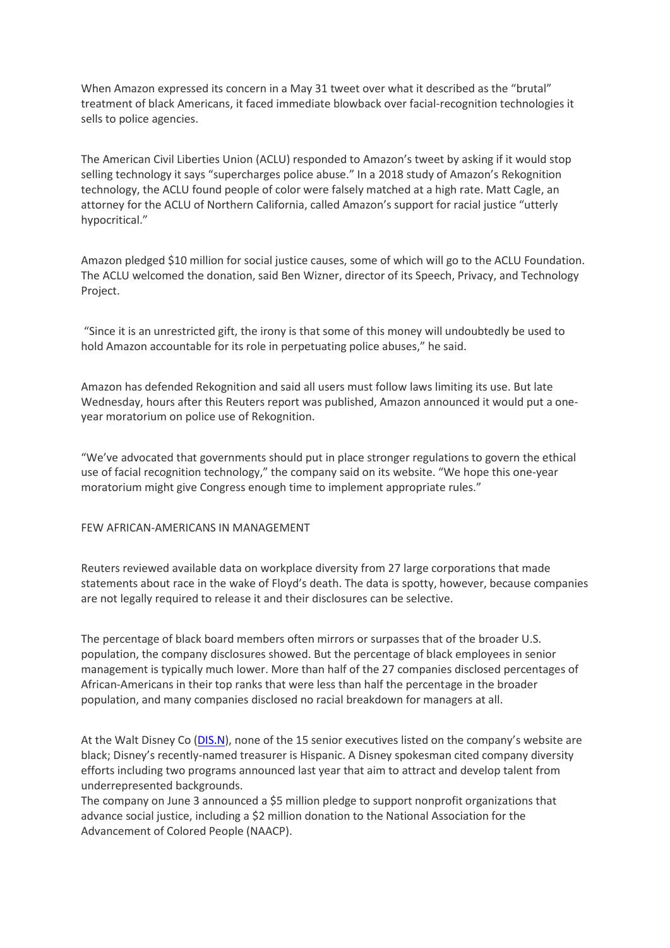When Amazon expressed its concern in a May 31 tweet over what it described as the "brutal" treatment of black Americans, it faced immediate blowback over facial-recognition technologies it sells to police agencies.

The American Civil Liberties Union (ACLU) responded to Amazon's tweet by asking if it would stop selling technology it says "supercharges police abuse." In a 2018 study of Amazon's Rekognition technology, the ACLU found people of color were falsely matched at a high rate. Matt Cagle, an attorney for the ACLU of Northern California, called Amazon's support for racial justice "utterly hypocritical."

Amazon pledged \$10 million for social justice causes, some of which will go to the ACLU Foundation. The ACLU welcomed the donation, said Ben Wizner, director of its Speech, Privacy, and Technology Project.

"Since it is an unrestricted gift, the irony is that some of this money will undoubtedly be used to hold Amazon accountable for its role in perpetuating police abuses," he said.

Amazon has defended Rekognition and said all users must follow laws limiting its use. But late Wednesday, hours after this Reuters report was published, Amazon announced it would put a oneyear moratorium on police use of Rekognition.

"We've advocated that governments should put in place stronger regulations to govern the ethical use of facial recognition technology," the company said on its website. "We hope this one-year moratorium might give Congress enough time to implement appropriate rules."

## FEW AFRICAN-AMERICANS IN MANAGEMENT

Reuters reviewed available data on workplace diversity from 27 large corporations that made statements about race in the wake of Floyd's death. The data is spotty, however, because companies are not legally required to release it and their disclosures can be selective.

The percentage of black board members often mirrors or surpasses that of the broader U.S. population, the company disclosures showed. But the percentage of black employees in senior management is typically much lower. More than half of the 27 companies disclosed percentages of African-Americans in their top ranks that were less than half the percentage in the broader population, and many companies disclosed no racial breakdown for managers at all.

At the Walt Disney Co [\(DIS.N](https://www.reuters.com/companies/DIS.N)), none of the 15 senior executives listed on the company's website are black; Disney's recently-named treasurer is Hispanic. A Disney spokesman cited company diversity efforts including two programs announced last year that aim to attract and develop talent from underrepresented backgrounds.

The company on June 3 announced a \$5 million pledge to support nonprofit organizations that advance social justice, including a \$2 million donation to the National Association for the Advancement of Colored People (NAACP).